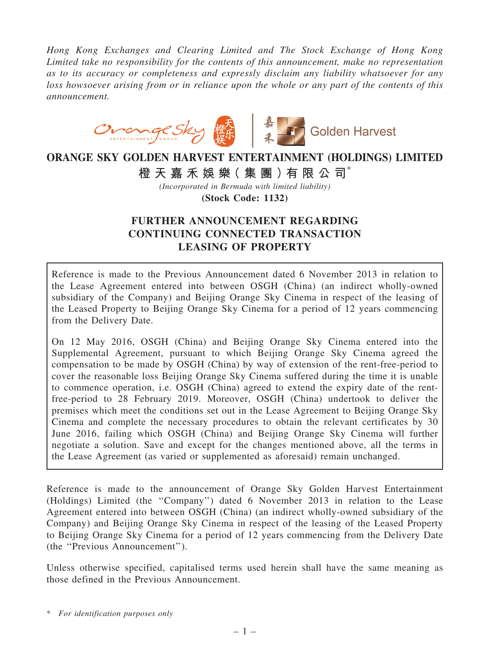*Hong Kong Exchanges and Clearing Limited and The Stock Exchange of Hong Kong Limited take no responsibility for the contents of this announcement, make no representation as to its accuracy or completeness and expressly disclaim any liability whatsoever for any loss howsoever arising from or in reliance upon the whole or any part of the contents of this announcement.*



# ORANGE SKY GOLDEN HARVEST ENTERTAINMENT (HOLDINGS) LIMITED 橙 天 嘉 禾 娛 樂 (集 團 ) 有 限 公 司 $^*$

*(Incorporated in Bermuda with limited liability)*

(Stock Code: 1132)

# FURTHER ANNOUNCEMENT REGARDING CONTINUING CONNECTED TRANSACTION LEASING OF PROPERTY

Reference is made to the Previous Announcement dated 6 November 2013 in relation to the Lease Agreement entered into between OSGH (China) (an indirect wholly-owned subsidiary of the Company) and Beijing Orange Sky Cinema in respect of the leasing of the Leased Property to Beijing Orange Sky Cinema for a period of 12 years commencing from the Delivery Date.

On 12 May 2016, OSGH (China) and Beijing Orange Sky Cinema entered into the Supplemental Agreement, pursuant to which Beijing Orange Sky Cinema agreed the compensation to be made by OSGH (China) by way of extension of the rent-free-period to cover the reasonable loss Beijing Orange Sky Cinema suffered during the time it is unable to commence operation, i.e. OSGH (China) agreed to extend the expiry date of the rentfree-period to 28 February 2019. Moreover, OSGH (China) undertook to deliver the premises which meet the conditions set out in the Lease Agreement to Beijing Orange Sky Cinema and complete the necessary procedures to obtain the relevant certificates by 30 June 2016, failing which OSGH (China) and Beijing Orange Sky Cinema will further negotiate a solution. Save and except for the changes mentioned above, all the terms in the Lease Agreement (as varied or supplemented as aforesaid) remain unchanged.

Reference is made to the announcement of Orange Sky Golden Harvest Entertainment (Holdings) Limited (the ''Company'') dated 6 November 2013 in relation to the Lease Agreement entered into between OSGH (China) (an indirect wholly-owned subsidiary of the Company) and Beijing Orange Sky Cinema in respect of the leasing of the Leased Property to Beijing Orange Sky Cinema for a period of 12 years commencing from the Delivery Date (the ''Previous Announcement'').

Unless otherwise specified, capitalised terms used herein shall have the same meaning as those defined in the Previous Announcement.

<sup>\*</sup> *For identification purposes only*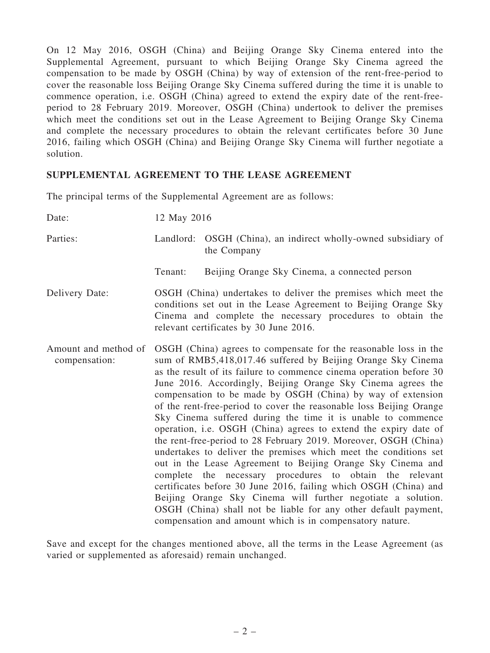On 12 May 2016, OSGH (China) and Beijing Orange Sky Cinema entered into the Supplemental Agreement, pursuant to which Beijing Orange Sky Cinema agreed the compensation to be made by OSGH (China) by way of extension of the rent-free-period to cover the reasonable loss Beijing Orange Sky Cinema suffered during the time it is unable to commence operation, i.e. OSGH (China) agreed to extend the expiry date of the rent-freeperiod to 28 February 2019. Moreover, OSGH (China) undertook to deliver the premises which meet the conditions set out in the Lease Agreement to Beijing Orange Sky Cinema and complete the necessary procedures to obtain the relevant certificates before 30 June 2016, failing which OSGH (China) and Beijing Orange Sky Cinema will further negotiate a solution.

#### SUPPLEMENTAL AGREEMENT TO THE LEASE AGREEMENT

The principal terms of the Supplemental Agreement are as follows:

| Date:                                 | 12 May 2016                                                                                                                                                                                                                                                                                                                                                                                                                                                                                                                                                                                                                                                                                                                                                                                                                                                                                                                                                                                                                                                                             |                                                                               |
|---------------------------------------|-----------------------------------------------------------------------------------------------------------------------------------------------------------------------------------------------------------------------------------------------------------------------------------------------------------------------------------------------------------------------------------------------------------------------------------------------------------------------------------------------------------------------------------------------------------------------------------------------------------------------------------------------------------------------------------------------------------------------------------------------------------------------------------------------------------------------------------------------------------------------------------------------------------------------------------------------------------------------------------------------------------------------------------------------------------------------------------------|-------------------------------------------------------------------------------|
| Parties:                              |                                                                                                                                                                                                                                                                                                                                                                                                                                                                                                                                                                                                                                                                                                                                                                                                                                                                                                                                                                                                                                                                                         | Landlord: OSGH (China), an indirect wholly-owned subsidiary of<br>the Company |
|                                       | Tenant:                                                                                                                                                                                                                                                                                                                                                                                                                                                                                                                                                                                                                                                                                                                                                                                                                                                                                                                                                                                                                                                                                 | Beijing Orange Sky Cinema, a connected person                                 |
| Delivery Date:                        | OSGH (China) undertakes to deliver the premises which meet the<br>conditions set out in the Lease Agreement to Beijing Orange Sky<br>Cinema and complete the necessary procedures to obtain the<br>relevant certificates by 30 June 2016.                                                                                                                                                                                                                                                                                                                                                                                                                                                                                                                                                                                                                                                                                                                                                                                                                                               |                                                                               |
| Amount and method of<br>compensation: | OSGH (China) agrees to compensate for the reasonable loss in the<br>sum of RMB5,418,017.46 suffered by Beijing Orange Sky Cinema<br>as the result of its failure to commence cinema operation before 30<br>June 2016. Accordingly, Beijing Orange Sky Cinema agrees the<br>compensation to be made by OSGH (China) by way of extension<br>of the rent-free-period to cover the reasonable loss Beijing Orange<br>Sky Cinema suffered during the time it is unable to commence<br>operation, i.e. OSGH (China) agrees to extend the expiry date of<br>the rent-free-period to 28 February 2019. Moreover, OSGH (China)<br>undertakes to deliver the premises which meet the conditions set<br>out in the Lease Agreement to Beijing Orange Sky Cinema and<br>complete the necessary procedures to obtain the relevant<br>certificates before 30 June 2016, failing which OSGH (China) and<br>Beijing Orange Sky Cinema will further negotiate a solution.<br>OSGH (China) shall not be liable for any other default payment,<br>compensation and amount which is in compensatory nature. |                                                                               |

Save and except for the changes mentioned above, all the terms in the Lease Agreement (as varied or supplemented as aforesaid) remain unchanged.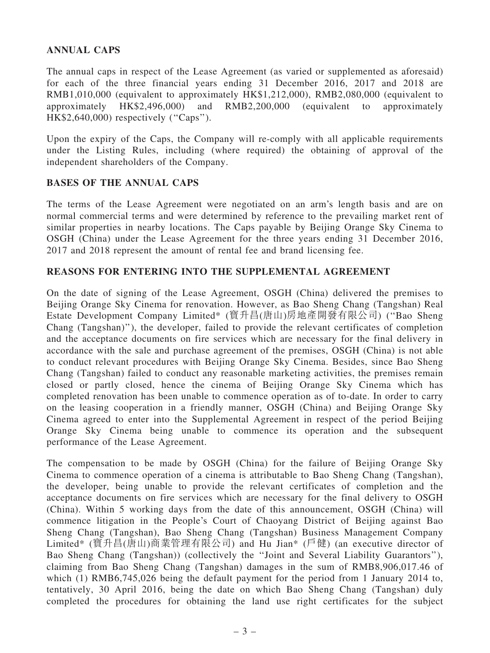# ANNUAL CAPS

The annual caps in respect of the Lease Agreement (as varied or supplemented as aforesaid) for each of the three financial years ending 31 December 2016, 2017 and 2018 are RMB1,010,000 (equivalent to approximately HK\$1,212,000), RMB2,080,000 (equivalent to approximately HK\$2,496,000) and RMB2,200,000 (equivalent to approximately HK\$2,640,000) respectively (''Caps'').

Upon the expiry of the Caps, the Company will re-comply with all applicable requirements under the Listing Rules, including (where required) the obtaining of approval of the independent shareholders of the Company.

# BASES OF THE ANNUAL CAPS

The terms of the Lease Agreement were negotiated on an arm's length basis and are on normal commercial terms and were determined by reference to the prevailing market rent of similar properties in nearby locations. The Caps payable by Beijing Orange Sky Cinema to OSGH (China) under the Lease Agreement for the three years ending 31 December 2016, 2017 and 2018 represent the amount of rental fee and brand licensing fee.

# REASONS FOR ENTERING INTO THE SUPPLEMENTAL AGREEMENT

On the date of signing of the Lease Agreement, OSGH (China) delivered the premises to Beijing Orange Sky Cinema for renovation. However, as Bao Sheng Chang (Tangshan) Real Estate Development Company Limited\* (寶升昌(唐山)房地產開發有限公司) (''Bao Sheng Chang (Tangshan)''), the developer, failed to provide the relevant certificates of completion and the acceptance documents on fire services which are necessary for the final delivery in accordance with the sale and purchase agreement of the premises, OSGH (China) is not able to conduct relevant procedures with Beijing Orange Sky Cinema. Besides, since Bao Sheng Chang (Tangshan) failed to conduct any reasonable marketing activities, the premises remain closed or partly closed, hence the cinema of Beijing Orange Sky Cinema which has completed renovation has been unable to commence operation as of to-date. In order to carry on the leasing cooperation in a friendly manner, OSGH (China) and Beijing Orange Sky Cinema agreed to enter into the Supplemental Agreement in respect of the period Beijing Orange Sky Cinema being unable to commence its operation and the subsequent performance of the Lease Agreement.

The compensation to be made by OSGH (China) for the failure of Beijing Orange Sky Cinema to commence operation of a cinema is attributable to Bao Sheng Chang (Tangshan), the developer, being unable to provide the relevant certificates of completion and the acceptance documents on fire services which are necessary for the final delivery to OSGH (China). Within 5 working days from the date of this announcement, OSGH (China) will commence litigation in the People's Court of Chaoyang District of Beijing against Bao Sheng Chang (Tangshan), Bao Sheng Chang (Tangshan) Business Management Company Limited\* (寶升昌(唐山)商業管理有限公司) and Hu Jian\* (戶健) (an executive director of Bao Sheng Chang (Tangshan)) (collectively the ''Joint and Several Liability Guarantors''), claiming from Bao Sheng Chang (Tangshan) damages in the sum of RMB8,906,017.46 of which (1) RMB6,745,026 being the default payment for the period from 1 January 2014 to, tentatively, 30 April 2016, being the date on which Bao Sheng Chang (Tangshan) duly completed the procedures for obtaining the land use right certificates for the subject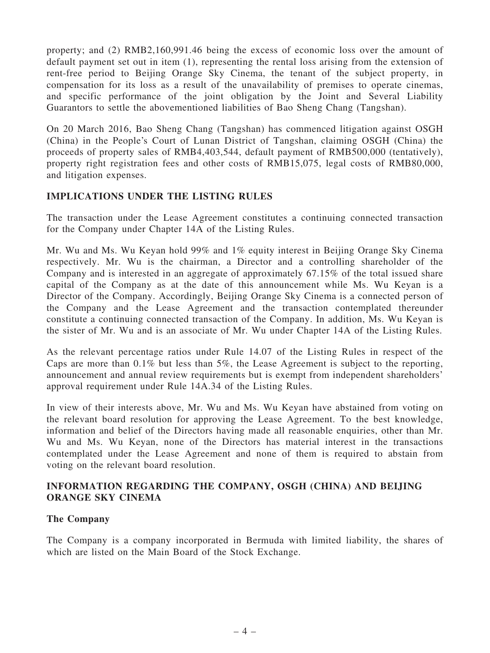property; and (2) RMB2,160,991.46 being the excess of economic loss over the amount of default payment set out in item (1), representing the rental loss arising from the extension of rent-free period to Beijing Orange Sky Cinema, the tenant of the subject property, in compensation for its loss as a result of the unavailability of premises to operate cinemas, and specific performance of the joint obligation by the Joint and Several Liability Guarantors to settle the abovementioned liabilities of Bao Sheng Chang (Tangshan).

On 20 March 2016, Bao Sheng Chang (Tangshan) has commenced litigation against OSGH (China) in the People's Court of Lunan District of Tangshan, claiming OSGH (China) the proceeds of property sales of RMB4,403,544, default payment of RMB500,000 (tentatively), property right registration fees and other costs of RMB15,075, legal costs of RMB80,000, and litigation expenses.

#### IMPLICATIONS UNDER THE LISTING RULES

The transaction under the Lease Agreement constitutes a continuing connected transaction for the Company under Chapter 14A of the Listing Rules.

Mr. Wu and Ms. Wu Keyan hold 99% and 1% equity interest in Beijing Orange Sky Cinema respectively. Mr. Wu is the chairman, a Director and a controlling shareholder of the Company and is interested in an aggregate of approximately 67.15% of the total issued share capital of the Company as at the date of this announcement while Ms. Wu Keyan is a Director of the Company. Accordingly, Beijing Orange Sky Cinema is a connected person of the Company and the Lease Agreement and the transaction contemplated thereunder constitute a continuing connected transaction of the Company. In addition, Ms. Wu Keyan is the sister of Mr. Wu and is an associate of Mr. Wu under Chapter 14A of the Listing Rules.

As the relevant percentage ratios under Rule 14.07 of the Listing Rules in respect of the Caps are more than 0.1% but less than 5%, the Lease Agreement is subject to the reporting, announcement and annual review requirements but is exempt from independent shareholders' approval requirement under Rule 14A.34 of the Listing Rules.

In view of their interests above, Mr. Wu and Ms. Wu Keyan have abstained from voting on the relevant board resolution for approving the Lease Agreement. To the best knowledge, information and belief of the Directors having made all reasonable enquiries, other than Mr. Wu and Ms. Wu Keyan, none of the Directors has material interest in the transactions contemplated under the Lease Agreement and none of them is required to abstain from voting on the relevant board resolution.

# INFORMATION REGARDING THE COMPANY, OSGH (CHINA) AND BEIJING ORANGE SKY CINEMA

#### The Company

The Company is a company incorporated in Bermuda with limited liability, the shares of which are listed on the Main Board of the Stock Exchange.